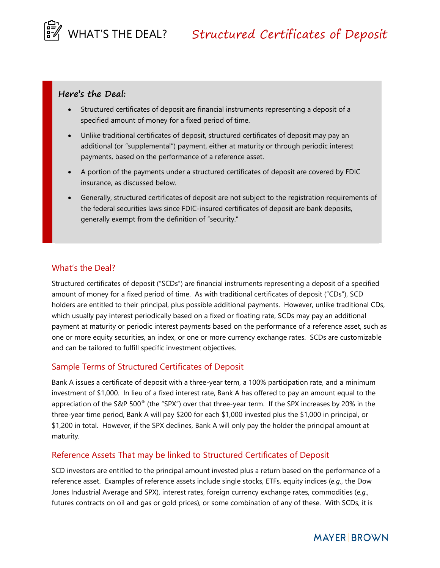

### **Here's the Deal:**

- Structured certificates of deposit are financial instruments representing a deposit of a specified amount of money for a fixed period of time.
- Unlike traditional certificates of deposit, structured certificates of deposit may pay an additional (or "supplemental") payment, either at maturity or through periodic interest payments, based on the performance of a reference asset.
- A portion of the payments under a structured certificates of deposit are covered by FDIC insurance, as discussed below.
- Generally, structured certificates of deposit are not subject to the registration requirements of the federal securities laws since FDIC-insured certificates of deposit are bank deposits, generally exempt from the definition of "security."

### What's the Deal?

Structured certificates of deposit ("SCDs") are financial instruments representing a deposit of a specified amount of money for a fixed period of time. As with traditional certificates of deposit ("CDs"), SCD holders are entitled to their principal, plus possible additional payments. However, unlike traditional CDs, which usually pay interest periodically based on a fixed or floating rate, SCDs may pay an additional payment at maturity or periodic interest payments based on the performance of a reference asset, such as one or more equity securities, an index, or one or more currency exchange rates. SCDs are customizable and can be tailored to fulfill specific investment objectives.

### Sample Terms of Structured Certificates of Deposit

Bank A issues a certificate of deposit with a three-year term, a 100% participation rate, and a minimum investment of \$1,000. In lieu of a fixed interest rate, Bank A has offered to pay an amount equal to the appreciation of the S&P 500® (the "SPX") over that three-year term. If the SPX increases by 20% in the three-year time period, Bank A will pay \$200 for each \$1,000 invested plus the \$1,000 in principal, or \$1,200 in total. However, if the SPX declines, Bank A will only pay the holder the principal amount at maturity.

### Reference Assets That may be linked to Structured Certificates of Deposit

SCD investors are entitled to the principal amount invested plus a return based on the performance of a reference asset. Examples of reference assets include single stocks, ETFs, equity indices (*e.g.*, the Dow Jones Industrial Average and SPX), interest rates, foreign currency exchange rates, commodities (*e.g.*, futures contracts on oil and gas or gold prices), or some combination of any of these. With SCDs, it is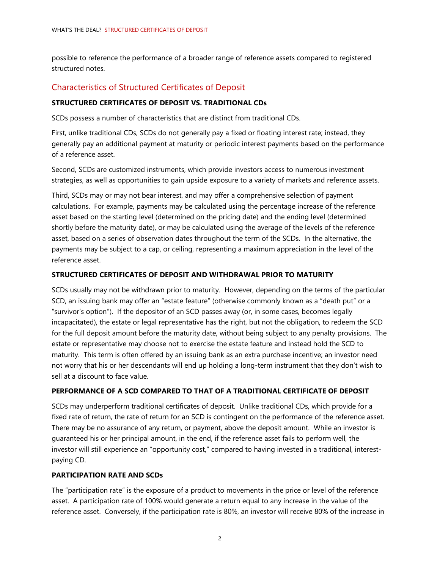possible to reference the performance of a broader range of reference assets compared to registered structured notes.

# Characteristics of Structured Certificates of Deposit

### **STRUCTURED CERTIFICATES OF DEPOSIT VS. TRADITIONAL CDs**

SCDs possess a number of characteristics that are distinct from traditional CDs.

First, unlike traditional CDs, SCDs do not generally pay a fixed or floating interest rate; instead, they generally pay an additional payment at maturity or periodic interest payments based on the performance of a reference asset.

Second, SCDs are customized instruments, which provide investors access to numerous investment strategies, as well as opportunities to gain upside exposure to a variety of markets and reference assets.

Third, SCDs may or may not bear interest, and may offer a comprehensive selection of payment calculations. For example, payments may be calculated using the percentage increase of the reference asset based on the starting level (determined on the pricing date) and the ending level (determined shortly before the maturity date), or may be calculated using the average of the levels of the reference asset, based on a series of observation dates throughout the term of the SCDs. In the alternative, the payments may be subject to a cap, or ceiling, representing a maximum appreciation in the level of the reference asset.

#### **STRUCTURED CERTIFICATES OF DEPOSIT AND WITHDRAWAL PRIOR TO MATURITY**

SCDs usually may not be withdrawn prior to maturity. However, depending on the terms of the particular SCD, an issuing bank may offer an "estate feature" (otherwise commonly known as a "death put" or a "survivor's option"). If the depositor of an SCD passes away (or, in some cases, becomes legally incapacitated), the estate or legal representative has the right, but not the obligation, to redeem the SCD for the full deposit amount before the maturity date, without being subject to any penalty provisions. The estate or representative may choose not to exercise the estate feature and instead hold the SCD to maturity. This term is often offered by an issuing bank as an extra purchase incentive; an investor need not worry that his or her descendants will end up holding a long-term instrument that they don't wish to sell at a discount to face value.

#### **PERFORMANCE OF A SCD COMPARED TO THAT OF A TRADITIONAL CERTIFICATE OF DEPOSIT**

SCDs may underperform traditional certificates of deposit. Unlike traditional CDs, which provide for a fixed rate of return, the rate of return for an SCD is contingent on the performance of the reference asset. There may be no assurance of any return, or payment, above the deposit amount. While an investor is guaranteed his or her principal amount, in the end, if the reference asset fails to perform well, the investor will still experience an "opportunity cost," compared to having invested in a traditional, interestpaying CD.

#### **PARTICIPATION RATE AND SCDs**

The "participation rate" is the exposure of a product to movements in the price or level of the reference asset. A participation rate of 100% would generate a return equal to any increase in the value of the reference asset. Conversely, if the participation rate is 80%, an investor will receive 80% of the increase in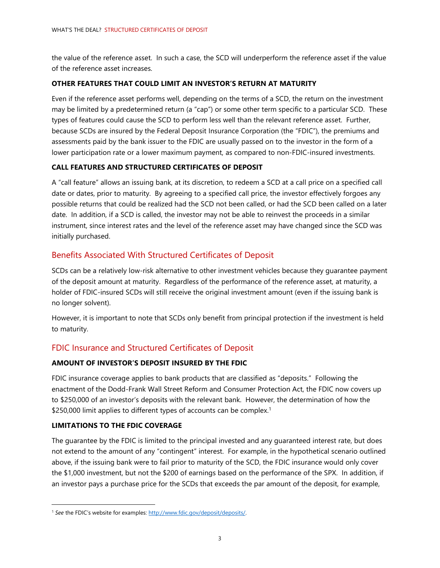the value of the reference asset. In such a case, the SCD will underperform the reference asset if the value of the reference asset increases.

#### **OTHER FEATURES THAT COULD LIMIT AN INVESTOR'S RETURN AT MATURITY**

Even if the reference asset performs well, depending on the terms of a SCD, the return on the investment may be limited by a predetermined return (a "cap") or some other term specific to a particular SCD. These types of features could cause the SCD to perform less well than the relevant reference asset. Further, because SCDs are insured by the Federal Deposit Insurance Corporation (the "FDIC"), the premiums and assessments paid by the bank issuer to the FDIC are usually passed on to the investor in the form of a lower participation rate or a lower maximum payment, as compared to non-FDIC-insured investments.

### **CALL FEATURES AND STRUCTURED CERTIFICATES OF DEPOSIT**

A "call feature" allows an issuing bank, at its discretion, to redeem a SCD at a call price on a specified call date or dates, prior to maturity. By agreeing to a specified call price, the investor effectively forgoes any possible returns that could be realized had the SCD not been called, or had the SCD been called on a later date. In addition, if a SCD is called, the investor may not be able to reinvest the proceeds in a similar instrument, since interest rates and the level of the reference asset may have changed since the SCD was initially purchased.

## Benefits Associated With Structured Certificates of Deposit

SCDs can be a relatively low-risk alternative to other investment vehicles because they guarantee payment of the deposit amount at maturity. Regardless of the performance of the reference asset, at maturity, a holder of FDIC-insured SCDs will still receive the original investment amount (even if the issuing bank is no longer solvent).

However, it is important to note that SCDs only benefit from principal protection if the investment is held to maturity.

# FDIC Insurance and Structured Certificates of Deposit

### **AMOUNT OF INVESTOR'S DEPOSIT INSURED BY THE FDIC**

FDIC insurance coverage applies to bank products that are classified as "deposits." Following the enactment of the Dodd-Frank Wall Street Reform and Consumer Protection Act, the FDIC now covers up to \$250,000 of an investor's deposits with the relevant bank. However, the determination of how the \$250,000 limit applies to different types of accounts can be complex.<sup>1</sup>

### **LIMITATIONS TO THE FDIC COVERAGE**

 $\overline{a}$ 

The guarantee by the FDIC is limited to the principal invested and any guaranteed interest rate, but does not extend to the amount of any "contingent" interest. For example, in the hypothetical scenario outlined above, if the issuing bank were to fail prior to maturity of the SCD, the FDIC insurance would only cover the \$1,000 investment, but not the \$200 of earnings based on the performance of the SPX. In addition, if an investor pays a purchase price for the SCDs that exceeds the par amount of the deposit, for example,

<sup>&</sup>lt;sup>1</sup> See the FDIC's website for examples: http://www.fdic.gov/deposit/deposits/.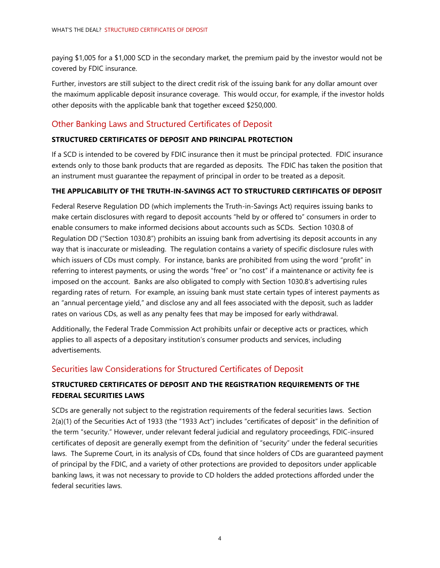paying \$1,005 for a \$1,000 SCD in the secondary market, the premium paid by the investor would not be covered by FDIC insurance.

Further, investors are still subject to the direct credit risk of the issuing bank for any dollar amount over the maximum applicable deposit insurance coverage. This would occur, for example, if the investor holds other deposits with the applicable bank that together exceed \$250,000.

# Other Banking Laws and Structured Certificates of Deposit

### **STRUCTURED CERTIFICATES OF DEPOSIT AND PRINCIPAL PROTECTION**

If a SCD is intended to be covered by FDIC insurance then it must be principal protected. FDIC insurance extends only to those bank products that are regarded as deposits. The FDIC has taken the position that an instrument must guarantee the repayment of principal in order to be treated as a deposit.

### **THE APPLICABILITY OF THE TRUTH-IN-SAVINGS ACT TO STRUCTURED CERTIFICATES OF DEPOSIT**

Federal Reserve Regulation DD (which implements the Truth-in-Savings Act) requires issuing banks to make certain disclosures with regard to deposit accounts "held by or offered to" consumers in order to enable consumers to make informed decisions about accounts such as SCDs. Section 1030.8 of Regulation DD ("Section 1030.8") prohibits an issuing bank from advertising its deposit accounts in any way that is inaccurate or misleading. The regulation contains a variety of specific disclosure rules with which issuers of CDs must comply. For instance, banks are prohibited from using the word "profit" in referring to interest payments, or using the words "free" or "no cost" if a maintenance or activity fee is imposed on the account. Banks are also obligated to comply with Section 1030.8's advertising rules regarding rates of return. For example, an issuing bank must state certain types of interest payments as an "annual percentage yield," and disclose any and all fees associated with the deposit, such as ladder rates on various CDs, as well as any penalty fees that may be imposed for early withdrawal.

Additionally, the Federal Trade Commission Act prohibits unfair or deceptive acts or practices, which applies to all aspects of a depositary institution's consumer products and services, including advertisements.

## Securities law Considerations for Structured Certificates of Deposit

## **STRUCTURED CERTIFICATES OF DEPOSIT AND THE REGISTRATION REQUIREMENTS OF THE FEDERAL SECURITIES LAWS**

SCDs are generally not subject to the registration requirements of the federal securities laws. Section 2(a)(1) of the Securities Act of 1933 (the "1933 Act") includes "certificates of deposit" in the definition of the term "security." However, under relevant federal judicial and regulatory proceedings, FDIC-insured certificates of deposit are generally exempt from the definition of "security" under the federal securities laws. The Supreme Court, in its analysis of CDs, found that since holders of CDs are guaranteed payment of principal by the FDIC, and a variety of other protections are provided to depositors under applicable banking laws, it was not necessary to provide to CD holders the added protections afforded under the federal securities laws.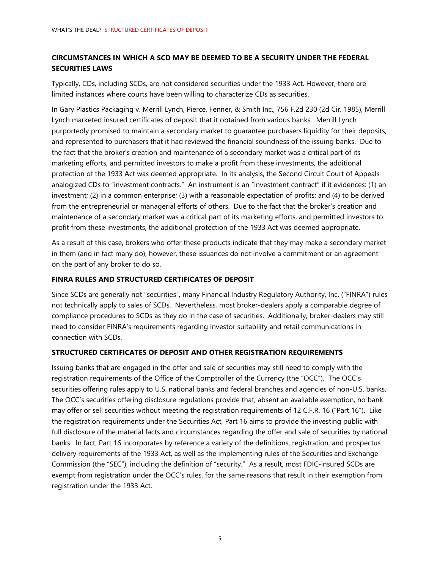## **CIRCUMSTANCES IN WHICH A SCD MAY BE DEEMED TO BE A SECURITY UNDER THE FEDERAL SECURITIES LAWS**

Typically, CDs, including SCDs, are not considered securities under the 1933 Act. However, there are limited instances where courts have been willing to characterize CDs as securities.

In Gary Plastics Packaging v. Merrill Lynch, Pierce, Fenner, & Smith Inc., 756 F.2d 230 (2d Cir. 1985), Merrill Lynch marketed insured certificates of deposit that it obtained from various banks. Merrill Lynch purportedly promised to maintain a secondary market to guarantee purchasers liquidity for their deposits, and represented to purchasers that it had reviewed the financial soundness of the issuing banks. Due to the fact that the broker's creation and maintenance of a secondary market was a critical part of its marketing efforts, and permitted investors to make a profit from these investments, the additional protection of the 1933 Act was deemed appropriate. In its analysis, the Second Circuit Court of Appeals analogized CDs to "investment contracts." An instrument is an "investment contract" if it evidences: (1) an investment; (2) in a common enterprise; (3) with a reasonable expectation of profits; and (4) to be derived from the entrepreneurial or managerial efforts of others. Due to the fact that the broker's creation and maintenance of a secondary market was a critical part of its marketing efforts, and permitted investors to profit from these investments, the additional protection of the 1933 Act was deemed appropriate.

As a result of this case, brokers who offer these products indicate that they may make a secondary market in them (and in fact many do), however, these issuances do not involve a commitment or an agreement on the part of any broker to do so.

### **FINRA RULES AND STRUCTURED CERTIFICATES OF DEPOSIT**

Since SCDs are generally not "securities", many Financial Industry Regulatory Authority, Inc. ("FINRA") rules not technically apply to sales of SCDs. Nevertheless, most broker-dealers apply a comparable degree of compliance procedures to SCDs as they do in the case of securities. Additionally, broker-dealers may still need to consider FINRA's requirements regarding investor suitability and retail communications in connection with SCDs.

### **STRUCTURED CERTIFICATES OF DEPOSIT AND OTHER REGISTRATION REQUIREMENTS**

Issuing banks that are engaged in the offer and sale of securities may still need to comply with the registration requirements of the Office of the Comptroller of the Currency (the "OCC"). The OCC's securities offering rules apply to U.S. national banks and federal branches and agencies of non-U.S. banks. The OCC's securities offering disclosure regulations provide that, absent an available exemption, no bank may offer or sell securities without meeting the registration requirements of 12 C.F.R. 16 ("Part 16"). Like the registration requirements under the Securities Act, Part 16 aims to provide the investing public with full disclosure of the material facts and circumstances regarding the offer and sale of securities by national banks. In fact, Part 16 incorporates by reference a variety of the definitions, registration, and prospectus delivery requirements of the 1933 Act, as well as the implementing rules of the Securities and Exchange Commission (the "SEC"), including the definition of "security." As a result, most FDIC-insured SCDs are exempt from registration under the OCC's rules, for the same reasons that result in their exemption from registration under the 1933 Act.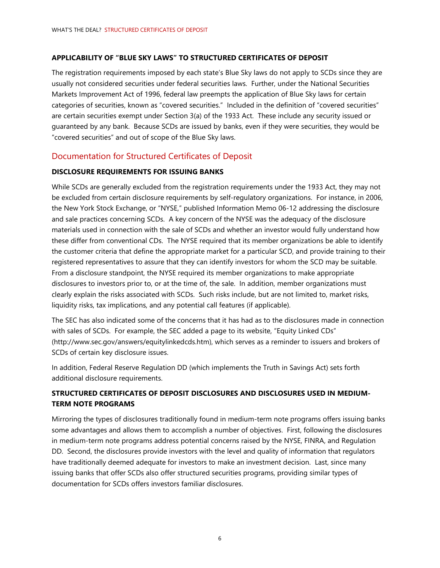### **APPLICABILITY OF "BLUE SKY LAWS" TO STRUCTURED CERTIFICATES OF DEPOSIT**

The registration requirements imposed by each state's Blue Sky laws do not apply to SCDs since they are usually not considered securities under federal securities laws. Further, under the National Securities Markets Improvement Act of 1996, federal law preempts the application of Blue Sky laws for certain categories of securities, known as "covered securities." Included in the definition of "covered securities" are certain securities exempt under Section 3(a) of the 1933 Act. These include any security issued or guaranteed by any bank. Because SCDs are issued by banks, even if they were securities, they would be "covered securities" and out of scope of the Blue Sky laws.

## Documentation for Structured Certificates of Deposit

### **DISCLOSURE REQUIREMENTS FOR ISSUING BANKS**

While SCDs are generally excluded from the registration requirements under the 1933 Act, they may not be excluded from certain disclosure requirements by self-regulatory organizations. For instance, in 2006, the New York Stock Exchange, or "NYSE," published Information Memo 06-12 addressing the disclosure and sale practices concerning SCDs. A key concern of the NYSE was the adequacy of the disclosure materials used in connection with the sale of SCDs and whether an investor would fully understand how these differ from conventional CDs. The NYSE required that its member organizations be able to identify the customer criteria that define the appropriate market for a particular SCD, and provide training to their registered representatives to assure that they can identify investors for whom the SCD may be suitable. From a disclosure standpoint, the NYSE required its member organizations to make appropriate disclosures to investors prior to, or at the time of, the sale. In addition, member organizations must clearly explain the risks associated with SCDs. Such risks include, but are not limited to, market risks, liquidity risks, tax implications, and any potential call features (if applicable).

The SEC has also indicated some of the concerns that it has had as to the disclosures made in connection with sales of SCDs. For example, the SEC added a page to its website, "Equity Linked CDs" (http://www.sec.gov/answers/equitylinkedcds.htm), which serves as a reminder to issuers and brokers of SCDs of certain key disclosure issues.

In addition, Federal Reserve Regulation DD (which implements the Truth in Savings Act) sets forth additional disclosure requirements.

## **STRUCTURED CERTIFICATES OF DEPOSIT DISCLOSURES AND DISCLOSURES USED IN MEDIUM-TERM NOTE PROGRAMS**

Mirroring the types of disclosures traditionally found in medium-term note programs offers issuing banks some advantages and allows them to accomplish a number of objectives. First, following the disclosures in medium-term note programs address potential concerns raised by the NYSE, FINRA, and Regulation DD. Second, the disclosures provide investors with the level and quality of information that regulators have traditionally deemed adequate for investors to make an investment decision. Last, since many issuing banks that offer SCDs also offer structured securities programs, providing similar types of documentation for SCDs offers investors familiar disclosures.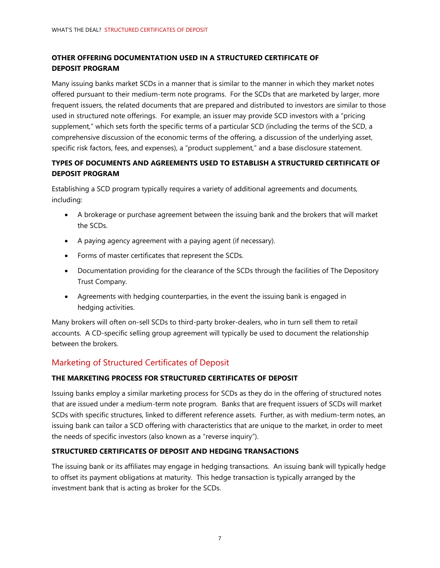## **OTHER OFFERING DOCUMENTATION USED IN A STRUCTURED CERTIFICATE OF DEPOSIT PROGRAM**

Many issuing banks market SCDs in a manner that is similar to the manner in which they market notes offered pursuant to their medium-term note programs. For the SCDs that are marketed by larger, more frequent issuers, the related documents that are prepared and distributed to investors are similar to those used in structured note offerings. For example, an issuer may provide SCD investors with a "pricing supplement," which sets forth the specific terms of a particular SCD (including the terms of the SCD, a comprehensive discussion of the economic terms of the offering, a discussion of the underlying asset, specific risk factors, fees, and expenses), a "product supplement," and a base disclosure statement.

## **TYPES OF DOCUMENTS AND AGREEMENTS USED TO ESTABLISH A STRUCTURED CERTIFICATE OF DEPOSIT PROGRAM**

Establishing a SCD program typically requires a variety of additional agreements and documents, including:

- A brokerage or purchase agreement between the issuing bank and the brokers that will market the SCDs.
- A paying agency agreement with a paying agent (if necessary).
- Forms of master certificates that represent the SCDs.
- Documentation providing for the clearance of the SCDs through the facilities of The Depository Trust Company.
- Agreements with hedging counterparties, in the event the issuing bank is engaged in hedging activities.

Many brokers will often on-sell SCDs to third-party broker-dealers, who in turn sell them to retail accounts. A CD-specific selling group agreement will typically be used to document the relationship between the brokers.

# Marketing of Structured Certificates of Deposit

## **THE MARKETING PROCESS FOR STRUCTURED CERTIFICATES OF DEPOSIT**

Issuing banks employ a similar marketing process for SCDs as they do in the offering of structured notes that are issued under a medium-term note program. Banks that are frequent issuers of SCDs will market SCDs with specific structures, linked to different reference assets. Further, as with medium-term notes, an issuing bank can tailor a SCD offering with characteristics that are unique to the market, in order to meet the needs of specific investors (also known as a "reverse inquiry").

### **STRUCTURED CERTIFICATES OF DEPOSIT AND HEDGING TRANSACTIONS**

The issuing bank or its affiliates may engage in hedging transactions. An issuing bank will typically hedge to offset its payment obligations at maturity. This hedge transaction is typically arranged by the investment bank that is acting as broker for the SCDs.